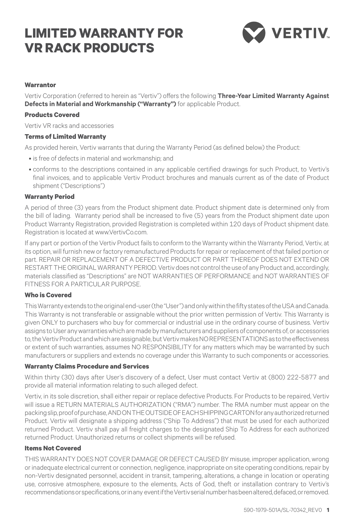# **LIMITED WARRANTY FOR VR Rack PRODUCTS**



#### **Warrantor**

Vertiv Corporation (referred to herein as "Vertiv") offers the following **Three-Year Limited Warranty Against Defects in Material and Workmanship ("Warranty")** for applicable Product.

#### **Products Covered**

Vertiv VR racks and accessories

#### **Terms of Limited Warranty**

As provided herein, Vertiv warrants that during the Warranty Period (as defined below) the Product:

- is free of defects in material and workmanship: and
- • conforms to the descriptions contained in any applicable certified drawings for such Product, to Vertiv's final invoices, and to applicable Vertiv Product brochures and manuals current as of the date of Product shipment ("Descriptions")

#### **Warranty Period**

A period of three (3) years from the Product shipment date. Product shipment date is determined only from the bill of lading. Warranty period shall be increased to five (5) years from the Product shipment date upon Product Warranty Registration, provided Registration is completed within 120 days of Product shipment date. Registration is located at www.VertivCo.com.

If any part or portion of the Vertiv Product fails to conform to the Warranty within the Warranty Period, Vertiv, at its option, will furnish new or factory remanufactured Products for repair or replacement of that failed portion or part. REPAIR OR REPLACEMENT OF A DEFECTIVE PRODUCT OR PART THEREOF DOES NOT EXTEND OR RESTART THE ORIGINAL WARRANTY PERIOD. Vertiv does not control the use of any Product and, accordingly, materials classified as "Descriptions" are NOT WARRANTIES OF PERFORMANCE and NOT WARRANTIES OF FITNESS FOR A PARTICULAR PURPOSE.

### **Who is Covered**

This Warranty extends to the original end-user (the "User") and only within the fifty states of the USA and Canada. This Warranty is not transferable or assignable without the prior written permission of Vertiv. This Warranty is given ONLY to purchasers who buy for commercial or industrial use in the ordinary course of business. Vertiv assigns to User any warranties which are made by manufacturers and suppliers of components of, or accessories to, the Vertiv Product and which are assignable, but Vertiv makes NO REPRESENTATIONS as to the effectiveness or extent of such warranties, assumes NO RESPONSIBILITY for any matters which may be warranted by such manufacturers or suppliers and extends no coverage under this Warranty to such components or accessories.

#### **Warranty Claims Procedure and Services**

Within thirty (30) days after User's discovery of a defect, User must contact Vertiv at (800) 222-5877 and provide all material information relating to such alleged defect.

Vertiv, in its sole discretion, shall either repair or replace defective Products. For Products to be repaired, Vertiv will issue a RETURN MATERIALS AUTHORIZATION ("RMA") number. The RMA number must appear on the packing slip, proof of purchase, AND ON THE OUTSIDE OF EACH SHIPPING CARTON for any authorized returned Product. Vertiv will designate a shipping address ("Ship To Address") that must be used for each authorized returned Product. Vertiv shall pay all freight charges to the designated Ship To Address for each authorized returned Product. Unauthorized returns or collect shipments will be refused.

## **Items Not Covered**

THIS WARRANTY DOES NOT COVER DAMAGE OR DEFECT CAUSED BY misuse, improper application, wrong or inadequate electrical current or connection, negligence, inappropriate on site operating conditions, repair by non-Vertiv designated personnel, accident in transit, tampering, alterations, a change in location or operating use, corrosive atmosphere, exposure to the elements, Acts of God, theft or installation contrary to Vertiv's recommendations or specifications, or in any event if the Vertiv serial number has been altered, defaced, or removed.